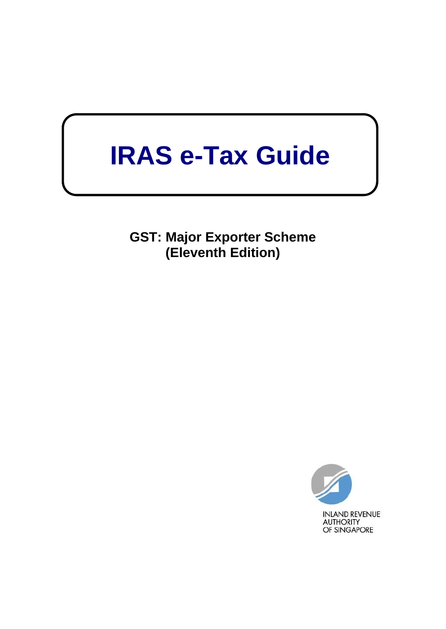# **IRAS e-Tax Guide**

**GST: Major Exporter Scheme (Eleventh Edition)**

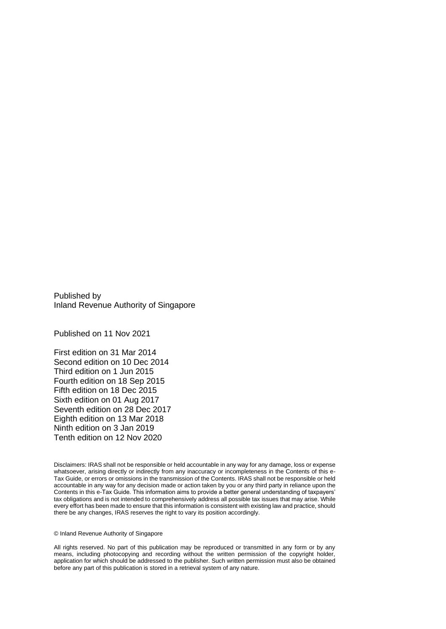Published by Inland Revenue Authority of Singapore

Published on 11 Nov 2021

First edition on 31 Mar 2014 Second edition on 10 Dec 2014 Third edition on 1 Jun 2015 Fourth edition on 18 Sep 2015 Fifth edition on 18 Dec 2015 Sixth edition on 01 Aug 2017 Seventh edition on 28 Dec 2017 Eighth edition on 13 Mar 2018 Ninth edition on 3 Jan 2019 Tenth edition on 12 Nov 2020

Disclaimers: IRAS shall not be responsible or held accountable in any way for any damage, loss or expense whatsoever, arising directly or indirectly from any inaccuracy or incompleteness in the Contents of this e-Tax Guide, or errors or omissions in the transmission of the Contents. IRAS shall not be responsible or held accountable in any way for any decision made or action taken by you or any third party in reliance upon the Contents in this e-Tax Guide. This information aims to provide a better general understanding of taxpayers' tax obligations and is not intended to comprehensively address all possible tax issues that may arise. While every effort has been made to ensure that this information is consistent with existing law and practice, should there be any changes, IRAS reserves the right to vary its position accordingly.

#### © Inland Revenue Authority of Singapore

All rights reserved. No part of this publication may be reproduced or transmitted in any form or by any means, including photocopying and recording without the written permission of the copyright holder, application for which should be addressed to the publisher. Such written permission must also be obtained before any part of this publication is stored in a retrieval system of any nature.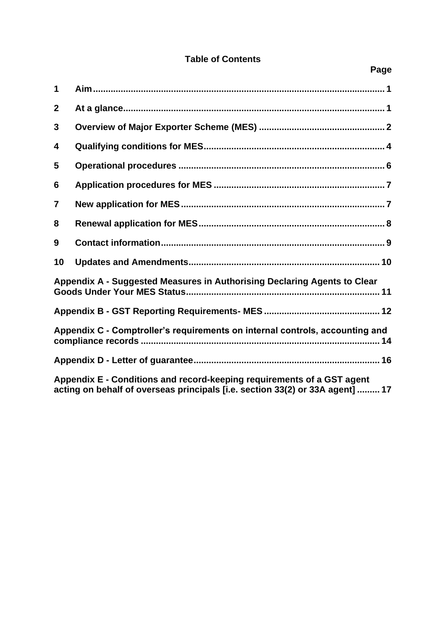### **Table of Contents**

**Page**

| 1              |                                                                              |
|----------------|------------------------------------------------------------------------------|
| $\mathbf{2}$   |                                                                              |
| 3              |                                                                              |
| 4              |                                                                              |
| 5              |                                                                              |
| 6              |                                                                              |
| $\overline{7}$ |                                                                              |
| 8              |                                                                              |
| 9              |                                                                              |
| 10             |                                                                              |
|                | Appendix A - Suggested Measures in Authorising Declaring Agents to Clear     |
|                |                                                                              |
|                | Appendix C - Comptroller's requirements on internal controls, accounting and |
|                |                                                                              |
|                | Appendix E - Conditions and record-keeping requirements of a GST agent       |

**[acting on behalf of overseas principals \[i.e. section 33\(2\) or 33A agent\]](#page-19-0) ......... 17**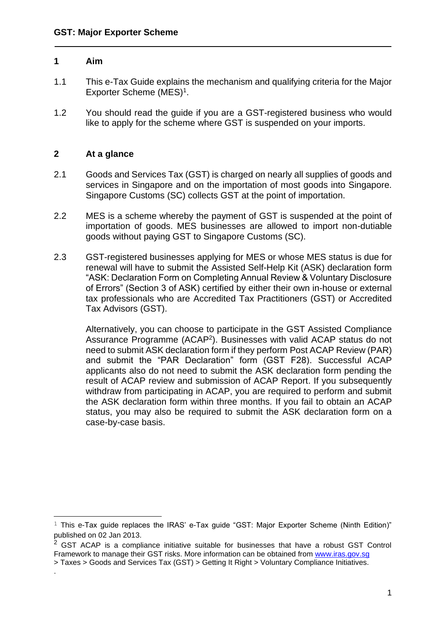#### <span id="page-3-0"></span>**1 Aim**

- 1.1 This e-Tax Guide explains the mechanism and qualifying criteria for the Major Exporter Scheme (MES)<sup>1</sup>.
- 1.2 You should read the guide if you are a GST-registered business who would like to apply for the scheme where GST is suspended on your imports.

#### <span id="page-3-1"></span>**2 At a glance**

.

- 2.1 Goods and Services Tax (GST) is charged on nearly all supplies of goods and services in Singapore and on the importation of most goods into Singapore. Singapore Customs (SC) collects GST at the point of importation.
- 2.2 MES is a scheme whereby the payment of GST is suspended at the point of importation of goods. MES businesses are allowed to import non-dutiable goods without paying GST to Singapore Customs (SC).
- 2.3 GST-registered businesses applying for MES or whose MES status is due for renewal will have to submit the Assisted Self-Help Kit (ASK) declaration form "ASK: Declaration Form on Completing Annual Review & Voluntary Disclosure of Errors" (Section 3 of ASK) certified by either their own in-house or external tax professionals who are Accredited Tax Practitioners (GST) or Accredited Tax Advisors (GST).

Alternatively, you can choose to participate in the GST Assisted Compliance Assurance Programme (ACAP<sup>2</sup>). Businesses with valid ACAP status do not need to submit ASK declaration form if they perform Post ACAP Review (PAR) and submit the "PAR Declaration" form (GST F28). Successful ACAP applicants also do not need to submit the ASK declaration form pending the result of ACAP review and submission of ACAP Report. If you subsequently withdraw from participating in ACAP, you are required to perform and submit the ASK declaration form within three months. If you fail to obtain an ACAP status, you may also be required to submit the ASK declaration form on a case-by-case basis.

 $1$  This e-Tax guide replaces the IRAS' e-Tax guide "GST: Major Exporter Scheme (Ninth Edition)" published on 02 Jan 2013.

 $2$  GST ACAP is a compliance initiative suitable for businesses that have a robust GST Control Framework to manage their GST risks. More information can be obtained from www.iras.gov.sg

<sup>&</sup>gt; Taxes > Goods and Services Tax (GST) > Getting It Right > Voluntary Compliance Initiatives.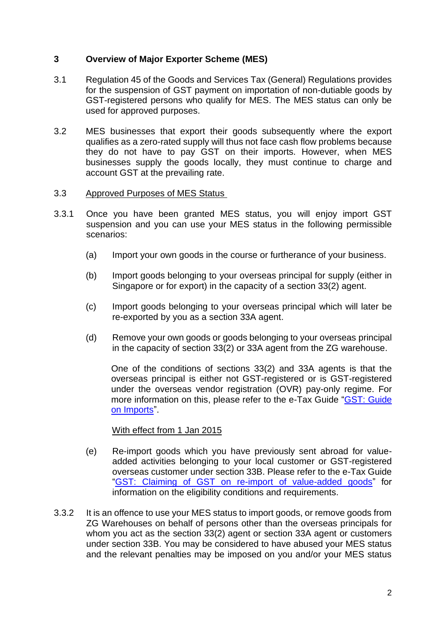#### <span id="page-4-0"></span>**3 Overview of Major Exporter Scheme (MES)**

- 3.1 Regulation 45 of the Goods and Services Tax (General) Regulations provides for the suspension of GST payment on importation of non-dutiable goods by GST-registered persons who qualify for MES. The MES status can only be used for approved purposes.
- 3.2 MES businesses that export their goods subsequently where the export qualifies as a zero-rated supply will thus not face cash flow problems because they do not have to pay GST on their imports. However, when MES businesses supply the goods locally, they must continue to charge and account GST at the prevailing rate.

#### 3.3 Approved Purposes of MES Status

- 3.3.1 Once you have been granted MES status, you will enjoy import GST suspension and you can use your MES status in the following permissible scenarios:
	- (a) Import your own goods in the course or furtherance of your business.
	- (b) Import goods belonging to your overseas principal for supply (either in Singapore or for export) in the capacity of a section 33(2) agent.
	- (c) Import goods belonging to your overseas principal which will later be re-exported by you as a section 33A agent.
	- (d) Remove your own goods or goods belonging to your overseas principal in the capacity of section 33(2) or 33A agent from the ZG warehouse.

One of the conditions of sections 33(2) and 33A agents is that the overseas principal is either not GST-registered or is GST-registered under the overseas vendor registration (OVR) pay-only regime. For more information on this, please refer to the e-Tax Guide ["GST: Guide](https://www.iras.gov.sg/irashome/uploadedFiles/IRASHome/e-Tax_Guides/etaxguide_GST_Guide%20on%20Imports.pdf)  [on Imports"](https://www.iras.gov.sg/irashome/uploadedFiles/IRASHome/e-Tax_Guides/etaxguide_GST_Guide%20on%20Imports.pdf).

#### With effect from 1 Jan 2015

- (e) Re-import goods which you have previously sent abroad for valueadded activities belonging to your local customer or GST-registered overseas customer under section 33B. Please refer to the e-Tax Guide ["GST: Claiming of GST on re-import of value-added goods"](https://www.iras.gov.sg/irashome/uploadedFiles/IRASHome/e-Tax_Guides/eTax%20Guide_Claiming%20of%20GST%20on%20re-import%20of%20value-added%20goods_Third%20edition.pdf) for information on the eligibility conditions and requirements.
- 3.3.2 It is an offence to use your MES status to import goods, or remove goods from ZG Warehouses on behalf of persons other than the overseas principals for whom you act as the section 33(2) agent or section 33A agent or customers under section 33B. You may be considered to have abused your MES status and the relevant penalties may be imposed on you and/or your MES status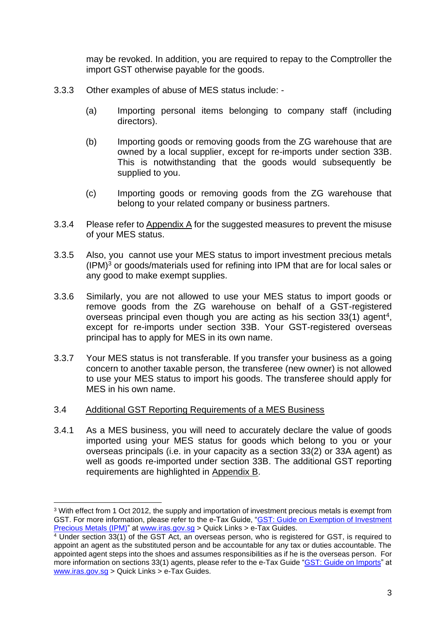may be revoked. In addition, you are required to repay to the Comptroller the import GST otherwise payable for the goods.

- 3.3.3 Other examples of abuse of MES status include:
	- (a) Importing personal items belonging to company staff (including directors).
	- (b) Importing goods or removing goods from the ZG warehouse that are owned by a local supplier, except for re-imports under section 33B. This is notwithstanding that the goods would subsequently be supplied to you.
	- (c) Importing goods or removing goods from the ZG warehouse that belong to your related company or business partners.
- 3.3.4 Please refer to [Appendix A](#page-13-0) for the suggested measures to prevent the misuse of your MES status.
- 3.3.5 Also, you cannot use your MES status to import investment precious metals (IPM)<sup>3</sup> or goods/materials used for refining into IPM that are for local sales or any good to make exempt supplies.
- 3.3.6 Similarly, you are not allowed to use your MES status to import goods or remove goods from the ZG warehouse on behalf of a GST-registered overseas principal even though you are acting as his section  $33(1)$  agent<sup>4</sup>, except for re-imports under section 33B. Your GST-registered overseas principal has to apply for MES in its own name.
- 3.3.7 Your MES status is not transferable. If you transfer your business as a going concern to another taxable person, the transferee (new owner) is not allowed to use your MES status to import his goods. The transferee should apply for MES in his own name.

#### 3.4 Additional GST Reporting Requirements of a MES Business

3.4.1 As a MES business, you will need to accurately declare the value of goods imported using your MES status for goods which belong to you or your overseas principals (i.e. in your capacity as a section 33(2) or 33A agent) as well as goods re-imported under section 33B. The additional GST reporting requirements are highlighted in [Appendix](#page-14-0) B.

<sup>3</sup> With effect from 1 Oct 2012, the supply and importation of investment precious metals is exempt from GST. For more information, please refer to the e-Tax Guide, ["GST: Guide on Exemption of Investment](https://www.iras.gov.sg/irashome/uploadedFiles/IRASHome/e-Tax_Guides/eTax%20Guide%20on%20GST%20Exemption%20of%20Investment%20Precious%20Metals%20(Eleventh%20Edition)(1).pdf)  [Precious Metals \(IPM\)"](https://www.iras.gov.sg/irashome/uploadedFiles/IRASHome/e-Tax_Guides/eTax%20Guide%20on%20GST%20Exemption%20of%20Investment%20Precious%20Metals%20(Eleventh%20Edition)(1).pdf) at [www.iras.gov.sg](http://www.iras.gov.sg/) > Quick Links > e-Tax Guides.

<sup>&</sup>lt;sup>4</sup> Under section 33(1) of the GST Act, an overseas person, who is registered for GST, is required to appoint an agent as the substituted person and be accountable for any tax or duties accountable. The appointed agent steps into the shoes and assumes responsibilities as if he is the overseas person. For more information on sections 33(1) agents, please refer to the e-Tax Guide ["GST: Guide on Imports"](https://www.iras.gov.sg/irashome/uploadedFiles/IRASHome/e-Tax_Guides/etaxguide_GST_Guide%20on%20Imports.pdf) at [www.iras.gov.sg](http://www.iras.gov.sg/) > Quick Links > e-Tax Guides.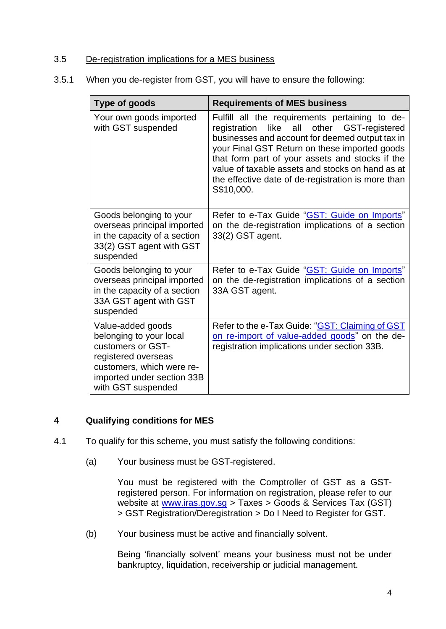#### 3.5 De-registration implications for a MES business

3.5.1 When you de-register from GST, you will have to ensure the following:

| Type of goods                                                                                                                                                             | <b>Requirements of MES business</b>                                                                                                                                                                                                                                                                                                                                                     |
|---------------------------------------------------------------------------------------------------------------------------------------------------------------------------|-----------------------------------------------------------------------------------------------------------------------------------------------------------------------------------------------------------------------------------------------------------------------------------------------------------------------------------------------------------------------------------------|
| Your own goods imported<br>with GST suspended                                                                                                                             | Fulfill all the requirements pertaining to de-<br>like<br>all<br>other<br>GST-registered<br>registration<br>businesses and account for deemed output tax in<br>your Final GST Return on these imported goods<br>that form part of your assets and stocks if the<br>value of taxable assets and stocks on hand as at<br>the effective date of de-registration is more than<br>S\$10,000. |
| Goods belonging to your<br>overseas principal imported<br>in the capacity of a section<br>33(2) GST agent with GST<br>suspended                                           | Refer to e-Tax Guide "GST: Guide on Imports"<br>on the de-registration implications of a section<br>33(2) GST agent.                                                                                                                                                                                                                                                                    |
| Goods belonging to your<br>overseas principal imported<br>in the capacity of a section<br>33A GST agent with GST<br>suspended                                             | Refer to e-Tax Guide "GST: Guide on Imports"<br>on the de-registration implications of a section<br>33A GST agent.                                                                                                                                                                                                                                                                      |
| Value-added goods<br>belonging to your local<br>customers or GST-<br>registered overseas<br>customers, which were re-<br>imported under section 33B<br>with GST suspended | Refer to the e-Tax Guide: "GST: Claiming of GST<br>on re-import of value-added goods" on the de-<br>registration implications under section 33B.                                                                                                                                                                                                                                        |

#### <span id="page-6-0"></span>**4 Qualifying conditions for MES**

- 4.1 To qualify for this scheme, you must satisfy the following conditions:
	- (a) Your business must be GST-registered.

You must be registered with the Comptroller of GST as a GSTregistered person. For information on registration, please refer to our website at [www.iras.gov.sg](http://www.iras.gov.sg/) > Taxes > Goods & Services Tax (GST) > GST Registration/Deregistration > Do I Need to Register for GST.

(b) Your business must be active and financially solvent.

Being 'financially solvent' means your business must not be under bankruptcy, liquidation, receivership or judicial management.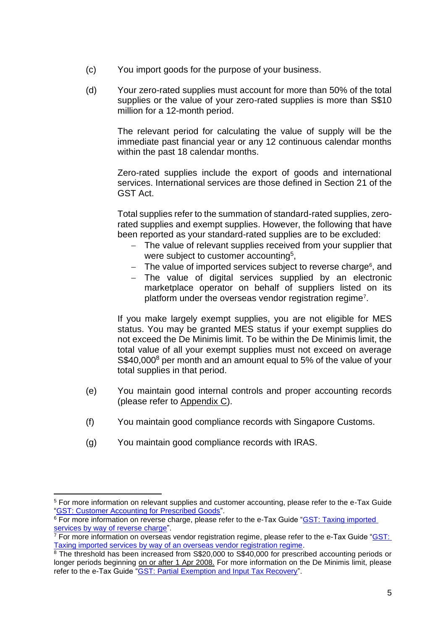- (c) You import goods for the purpose of your business.
- (d) Your zero-rated supplies must account for more than 50% of the total supplies or the value of your zero-rated supplies is more than S\$10 million for a 12-month period.

The relevant period for calculating the value of supply will be the immediate past financial year or any 12 continuous calendar months within the past 18 calendar months.

Zero-rated supplies include the export of goods and international services. International services are those defined in Section 21 of the GST Act.

Total supplies refer to the summation of standard-rated supplies, zerorated supplies and exempt supplies. However, the following that have been reported as your standard-rated supplies are to be excluded:

- − The value of relevant supplies received from your supplier that were subject to customer accounting<sup>5</sup>,
- − The value of imported services subject to reverse charge<sup>6</sup>, and
- − The value of digital services supplied by an electronic marketplace operator on behalf of suppliers listed on its platform under the overseas vendor registration regime<sup>7</sup>.

If you make largely exempt supplies, you are not eligible for MES status. You may be granted MES status if your exempt supplies do not exceed the De Minimis limit. To be within the De Minimis limit, the total value of all your exempt supplies must not exceed on average S\$40,000<sup>8</sup> per month and an amount equal to 5% of the value of your total supplies in that period.

- (e) You maintain good internal controls and proper accounting records (please refer to [Appendix](#page-16-0) C).
- (f) You maintain good compliance records with Singapore Customs.
- (g) You maintain good compliance records with IRAS.

<sup>5</sup> For more information on relevant supplies and customer accounting, please refer to the e-Tax Guide ["GST: Customer Accounting for Prescribed Goods"](https://www.iras.gov.sg/irashome/uploadedFiles/IRASHome/e-Tax_Guides/etaxguide_GST_%20Customer_Accounting_for_Prescribed_Goods.pdf).

<sup>&</sup>lt;sup>6</sup> For more information on reverse charge, please refer to the e-Tax Guide "GST: Taxing imported [services by way of reverse charge"](https://www.iras.gov.sg/irashome/uploadedFiles/IRASHome/e-Tax_Guides/GST%20Taxing%20imported%20services%20by%20way%20of%20reverse%20charge%20(2nd%20Edition).pdf).

 $^7$  For more information on overseas vendor registration regime, please refer to the e-Tax Guide " $\underline{\textsf{GST}}}$ : [Taxing imported services by way of an overseas vendor registration regime.](https://www.iras.gov.sg/irashome/uploadedFiles/IRASHome/e-Tax_Guides/etaxguide_GST_Taxing%20imported%20services%20by%20way%20of%20an%20overseas%20vendor%20registration%20regime.pdf)

<sup>&</sup>lt;sup>8</sup> The threshold has been increased from S\$20,000 to S\$40,000 for prescribed accounting periods or longer periods beginning on or after 1 Apr 2008. For more information on the De Minimis limit, please refer to the e-Tax Guide ["GST: Partial Exemption and Input Tax Recovery"](https://www.iras.gov.sg/irashome/uploadedFiles/IRASHome/e-Tax_Guides/eTax%20Guide%20Partial%20Exemption%20and%20Input%20Tax%20Recovery%20(Fifth%20Edition).pdf).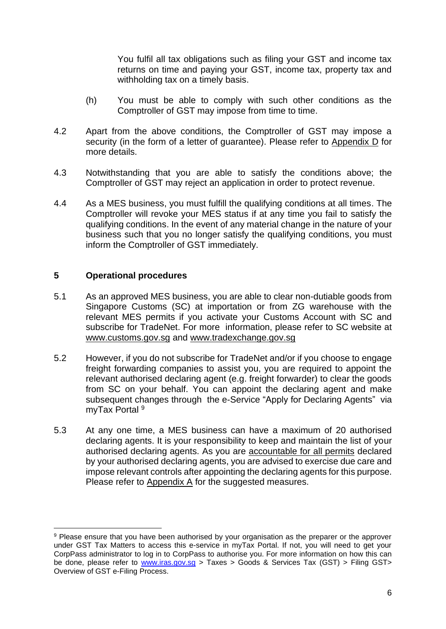You fulfil all tax obligations such as filing your GST and income tax returns on time and paying your GST, income tax, property tax and withholding tax on a timely basis.

- (h) You must be able to comply with such other conditions as the Comptroller of GST may impose from time to time.
- 4.2 Apart from the above conditions, the Comptroller of GST may impose a security (in the form of a letter of guarantee). Please refer to [Appendix](#page-18-0) D for more details.
- 4.3 Notwithstanding that you are able to satisfy the conditions above; the Comptroller of GST may reject an application in order to protect revenue.
- 4.4 As a MES business, you must fulfill the qualifying conditions at all times. The Comptroller will revoke your MES status if at any time you fail to satisfy the qualifying conditions. In the event of any material change in the nature of your business such that you no longer satisfy the qualifying conditions, you must inform the Comptroller of GST immediately.

#### <span id="page-8-0"></span>**5 Operational procedures**

- 5.1 As an approved MES business, you are able to clear non-dutiable goods from Singapore Customs (SC) at importation or from ZG warehouse with the relevant MES permits if you activate your Customs Account with SC and subscribe for TradeNet. For more information, please refer to SC website at [www.customs.gov.sg](http://www.customs.gov.sg/) and [www.tradexchange.gov.sg](http://www.tradexchange.gov.sg/)
- 5.2 However, if you do not subscribe for TradeNet and/or if you choose to engage freight forwarding companies to assist you, you are required to appoint the relevant authorised declaring agent (e.g. freight forwarder) to clear the goods from SC on your behalf. You can appoint the declaring agent and make subsequent changes through the e-Service "Apply for Declaring Agents" via myTax Portal<sup>9</sup>
- 5.3 At any one time, a MES business can have a maximum of 20 authorised declaring agents. It is your responsibility to keep and maintain the list of your authorised declaring agents. As you are **accountable for all permits** declared by your authorised declaring agents, you are advised to exercise due care and impose relevant controls after appointing the declaring agents for this purpose. Please refer to [Appendix](#page-13-0) A for the suggested measures.

<sup>&</sup>lt;sup>9</sup> Please ensure that you have been authorised by your organisation as the preparer or the approver under GST Tax Matters to access this e-service in myTax Portal. If not, you will need to get your CorpPass administrator to log in to CorpPass to authorise you. For more information on how this can be done, please refer to [www.iras.gov.sg](http://www.iras.gov.sg/) > Taxes > Goods & Services Tax (GST) > Filing GST> Overview of GST e-Filing Process.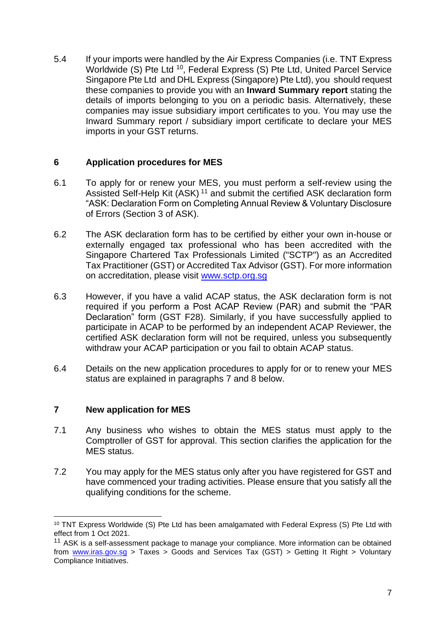5.4 If your imports were handled by the Air Express Companies (i.e. TNT Express Worldwide (S) Pte Ltd <sup>10</sup>, Federal Express (S) Pte Ltd, United Parcel Service Singapore Pte Ltd and DHL Express (Singapore) Pte Ltd), you should request these companies to provide you with an **Inward Summary report** stating the details of imports belonging to you on a periodic basis. Alternatively, these companies may issue subsidiary import certificates to you. You may use the Inward Summary report / subsidiary import certificate to declare your MES imports in your GST returns.

#### <span id="page-9-0"></span>**6 Application procedures for MES**

- 6.1 To apply for or renew your MES, you must perform a self-review using the Assisted Self-Help Kit (ASK)<sup>11</sup> and submit the certified ASK declaration form "ASK: Declaration Form on Completing Annual Review & Voluntary Disclosure of Errors (Section 3 of ASK).
- 6.2 The ASK declaration form has to be certified by either your own in-house or externally engaged tax professional who has been accredited with the Singapore Chartered Tax Professionals Limited ("SCTP") as an Accredited Tax Practitioner (GST) or Accredited Tax Advisor (GST). For more information on accreditation, please visit [www.sctp.org.sg](http://www.sctp.org.sg/)
- 6.3 However, if you have a valid ACAP status, the ASK declaration form is not required if you perform a Post ACAP Review (PAR) and submit the "PAR Declaration" form (GST F28). Similarly, if you have successfully applied to participate in ACAP to be performed by an independent ACAP Reviewer, the certified ASK declaration form will not be required, unless you subsequently withdraw your ACAP participation or you fail to obtain ACAP status.
- 6.4 Details on the new application procedures to apply for or to renew your MES status are explained in paragraphs 7 and 8 below.

#### <span id="page-9-1"></span>**7 New application for MES**

- 7.1 Any business who wishes to obtain the MES status must apply to the Comptroller of GST for approval. This section clarifies the application for the MES status.
- 7.2 You may apply for the MES status only after you have registered for GST and have commenced your trading activities. Please ensure that you satisfy all the qualifying conditions for the scheme.

<sup>&</sup>lt;sup>10</sup> TNT Express Worldwide (S) Pte Ltd has been amalgamated with Federal Express (S) Pte Ltd with effect from 1 Oct 2021.

 $11$  ASK is a self-assessment package to manage your compliance. More information can be obtained from [www.iras.gov.sg](http://www.iras.gov.sg/) > Taxes > Goods and Services Tax (GST) > Getting It Right > Voluntary Compliance Initiatives.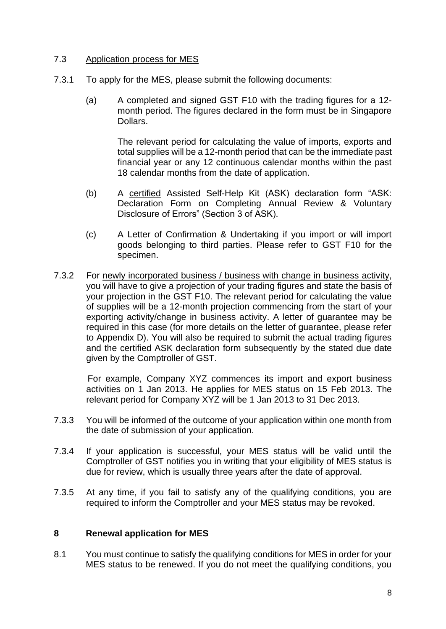#### 7.3 Application process for MES

- 7.3.1 To apply for the MES, please submit the following documents:
	- (a) A completed and signed GST F10 with the trading figures for a 12 month period. The figures declared in the form must be in Singapore Dollars.

The relevant period for calculating the value of imports, exports and total supplies will be a 12-month period that can be the immediate past financial year or any 12 continuous calendar months within the past 18 calendar months from the date of application.

- (b) A certified Assisted Self-Help Kit (ASK) declaration form "ASK: Declaration Form on Completing Annual Review & Voluntary Disclosure of Errors" (Section 3 of ASK).
- (c) A Letter of Confirmation & Undertaking if you import or will import goods belonging to third parties. Please refer to GST F10 for the specimen.
- 7.3.2 For newly incorporated business / business with change in business activity, you will have to give a projection of your trading figures and state the basis of your projection in the GST F10. The relevant period for calculating the value of supplies will be a 12-month projection commencing from the start of your exporting activity/change in business activity. A letter of guarantee may be required in this case (for more details on the letter of guarantee, please refer to [Appendix](#page-16-0) D). You will also be required to submit the actual trading figures and the certified ASK declaration form subsequently by the stated due date given by the Comptroller of GST.

For example, Company XYZ commences its import and export business activities on 1 Jan 2013. He applies for MES status on 15 Feb 2013. The relevant period for Company XYZ will be 1 Jan 2013 to 31 Dec 2013.

- 7.3.3 You will be informed of the outcome of your application within one month from the date of submission of your application.
- 7.3.4 If your application is successful, your MES status will be valid until the Comptroller of GST notifies you in writing that your eligibility of MES status is due for review, which is usually three years after the date of approval.
- 7.3.5 At any time, if you fail to satisfy any of the qualifying conditions, you are required to inform the Comptroller and your MES status may be revoked.

#### <span id="page-10-0"></span>**8 Renewal application for MES**

8.1 You must continue to satisfy the qualifying conditions for MES in order for your MES status to be renewed. If you do not meet the qualifying conditions, you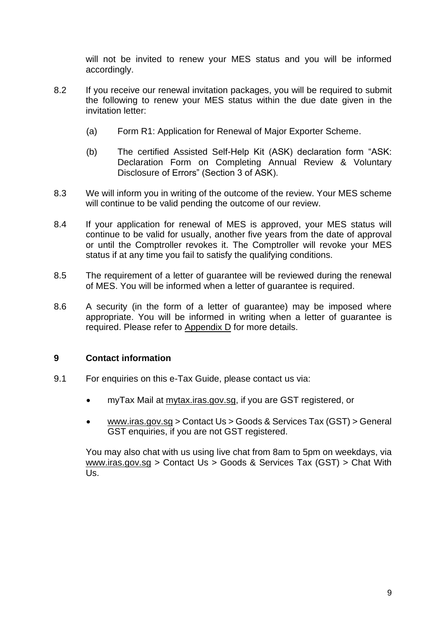will not be invited to renew your MES status and you will be informed accordingly.

- 8.2 If you receive our renewal invitation packages, you will be required to submit the following to renew your MES status within the due date given in the invitation letter:
	- (a) Form R1: Application for Renewal of Major Exporter Scheme.
	- (b) The certified Assisted Self-Help Kit (ASK) declaration form "ASK: Declaration Form on Completing Annual Review & Voluntary Disclosure of Errors" (Section 3 of ASK).
- 8.3 We will inform you in writing of the outcome of the review. Your MES scheme will continue to be valid pending the outcome of our review.
- 8.4 If your application for renewal of MES is approved, your MES status will continue to be valid for usually, another five years from the date of approval or until the Comptroller revokes it. The Comptroller will revoke your MES status if at any time you fail to satisfy the qualifying conditions.
- 8.5 The requirement of a letter of guarantee will be reviewed during the renewal of MES. You will be informed when a letter of guarantee is required.
- 8.6 A security (in the form of a letter of guarantee) may be imposed where appropriate. You will be informed in writing when a letter of guarantee is required. Please refer to [Appendix](#page-18-0) D for more details.

#### <span id="page-11-0"></span>**9 Contact information**

- 9.1 For enquiries on this e-Tax Guide, please contact us via:
	- myTax Mail at mytax.iras.gov.sg, if you are GST registered, or
	- www.iras.gov.sg > Contact Us > Goods & Services Tax (GST) > General GST enquiries, if you are not GST registered.

You may also chat with us using live chat from 8am to 5pm on weekdays, via www.iras.gov.sg > Contact Us > Goods & Services Tax (GST) > Chat With Us.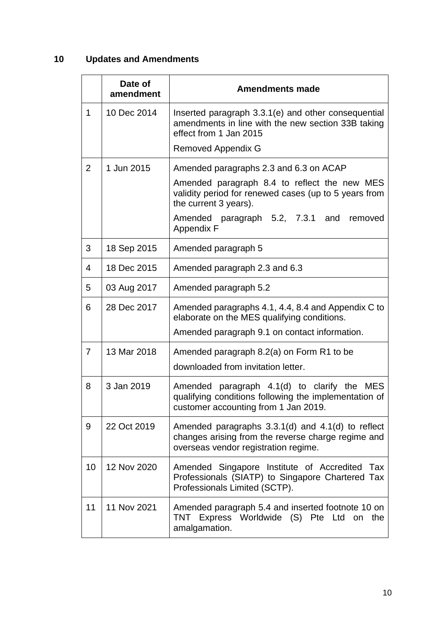## <span id="page-12-0"></span>**10 Updates and Amendments**

|                | Date of<br>amendment | <b>Amendments made</b>                                                                                                                                           |
|----------------|----------------------|------------------------------------------------------------------------------------------------------------------------------------------------------------------|
| 1              | 10 Dec 2014          | Inserted paragraph 3.3.1(e) and other consequential<br>amendments in line with the new section 33B taking<br>effect from 1 Jan 2015<br><b>Removed Appendix G</b> |
| $\overline{2}$ | 1 Jun 2015           | Amended paragraphs 2.3 and 6.3 on ACAP                                                                                                                           |
|                |                      | Amended paragraph 8.4 to reflect the new MES<br>validity period for renewed cases (up to 5 years from<br>the current 3 years).                                   |
|                |                      | Amended paragraph 5.2, 7.3.1 and<br>removed<br><b>Appendix F</b>                                                                                                 |
| 3              | 18 Sep 2015          | Amended paragraph 5                                                                                                                                              |
| 4              | 18 Dec 2015          | Amended paragraph 2.3 and 6.3                                                                                                                                    |
| 5              | 03 Aug 2017          | Amended paragraph 5.2                                                                                                                                            |
| 6              | 28 Dec 2017          | Amended paragraphs 4.1, 4.4, 8.4 and Appendix C to<br>elaborate on the MES qualifying conditions.                                                                |
|                |                      | Amended paragraph 9.1 on contact information.                                                                                                                    |
| $\overline{7}$ | 13 Mar 2018          | Amended paragraph 8.2(a) on Form R1 to be<br>downloaded from invitation letter.                                                                                  |
| 8              | 3 Jan 2019           | paragraph 4.1(d) to clarify the MES<br>Amended<br>qualifying conditions following the implementation of<br>customer accounting from 1 Jan 2019.                  |
| 9              | 22 Oct 2019          | Amended paragraphs $3.3.1(d)$ and $4.1(d)$ to reflect<br>changes arising from the reverse charge regime and<br>overseas vendor registration regime.              |
| 10             | 12 Nov 2020          | Amended Singapore Institute of Accredited<br>Tax<br>Professionals (SIATP) to Singapore Chartered Tax<br>Professionals Limited (SCTP).                            |
| 11             | 11 Nov 2021          | Amended paragraph 5.4 and inserted footnote 10 on<br>TNT Express Worldwide (S) Pte Ltd on the<br>amalgamation.                                                   |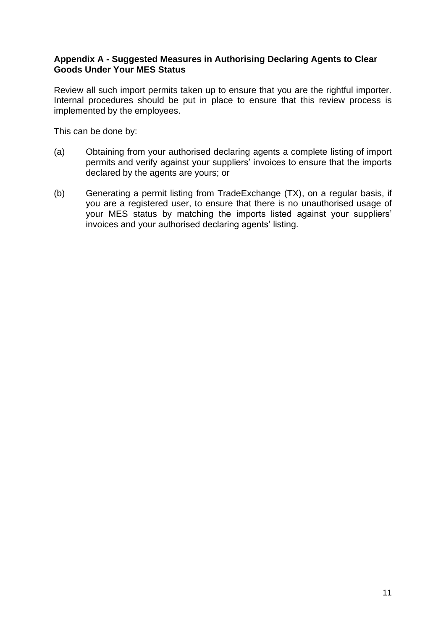#### <span id="page-13-0"></span>**Appendix A - Suggested Measures in Authorising Declaring Agents to Clear Goods Under Your MES Status**

Review all such import permits taken up to ensure that you are the rightful importer. Internal procedures should be put in place to ensure that this review process is implemented by the employees.

This can be done by:

- (a) Obtaining from your authorised declaring agents a complete listing of import permits and verify against your suppliers' invoices to ensure that the imports declared by the agents are yours; or
- (b) Generating a permit listing from TradeExchange (TX), on a regular basis, if you are a registered user, to ensure that there is no unauthorised usage of your MES status by matching the imports listed against your suppliers' invoices and your authorised declaring agents' listing.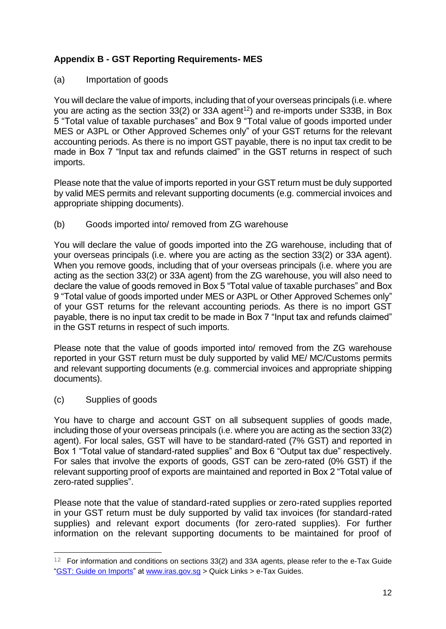#### <span id="page-14-0"></span>**Appendix B - GST Reporting Requirements- MES**

(a) Importation of goods

You will declare the value of imports, including that of your overseas principals (i.e. where you are acting as the section  $33(2)$  or  $33A$  agent<sup>12</sup>) and re-imports under S33B, in Box 5 "Total value of taxable purchases" and Box 9 "Total value of goods imported under MES or A3PL or Other Approved Schemes only" of your GST returns for the relevant accounting periods. As there is no import GST payable, there is no input tax credit to be made in Box 7 "Input tax and refunds claimed" in the GST returns in respect of such imports.

Please note that the value of imports reported in your GST return must be duly supported by valid MES permits and relevant supporting documents (e.g. commercial invoices and appropriate shipping documents).

(b) Goods imported into/ removed from ZG warehouse

You will declare the value of goods imported into the ZG warehouse, including that of your overseas principals (i.e. where you are acting as the section 33(2) or 33A agent). When you remove goods, including that of your overseas principals (i.e. where you are acting as the section 33(2) or 33A agent) from the ZG warehouse, you will also need to declare the value of goods removed in Box 5 "Total value of taxable purchases" and Box 9 "Total value of goods imported under MES or A3PL or Other Approved Schemes only" of your GST returns for the relevant accounting periods. As there is no import GST payable, there is no input tax credit to be made in Box 7 "Input tax and refunds claimed" in the GST returns in respect of such imports.

Please note that the value of goods imported into/ removed from the ZG warehouse reported in your GST return must be duly supported by valid ME/ MC/Customs permits and relevant supporting documents (e.g. commercial invoices and appropriate shipping documents).

(c) Supplies of goods

You have to charge and account GST on all subsequent supplies of goods made, including those of your overseas principals (i.e. where you are acting as the section 33(2) agent). For local sales, GST will have to be standard-rated (7% GST) and reported in Box 1 "Total value of standard-rated supplies" and Box 6 "Output tax due" respectively. For sales that involve the exports of goods, GST can be zero-rated (0% GST) if the relevant supporting proof of exports are maintained and reported in Box 2 "Total value of zero-rated supplies".

Please note that the value of standard-rated supplies or zero-rated supplies reported in your GST return must be duly supported by valid tax invoices (for standard-rated supplies) and relevant export documents (for zero-rated supplies). For further information on the relevant supporting documents to be maintained for proof of

 $12$  For information and conditions on sections 33(2) and 33A agents, please refer to the e-Tax Guide ["GST: Guide on Imports"](https://www.iras.gov.sg/irashome/uploadedFiles/IRASHome/e-Tax_Guides/etaxguide_GST_Guide%20on%20Imports.pdf) at [www.iras.gov.sg](http://www.iras.gov.sg/) > Quick Links > e-Tax Guides.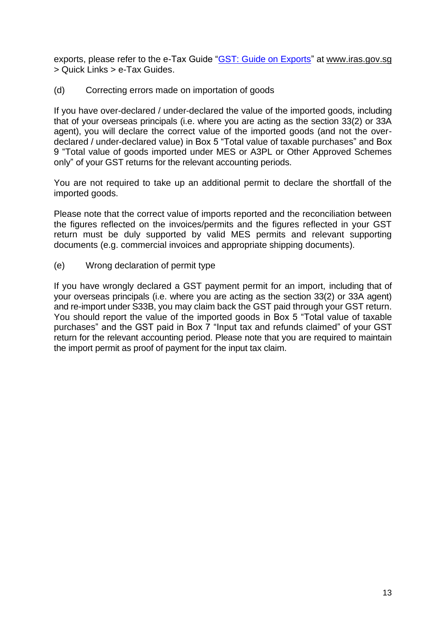exports, please refer to the e-Tax Guide "GST: [Guide on Exports"](https://www.iras.gov.sg/IRASHome/uploadedFiles/IRASHome/e-Tax_Guides/etaxguides_GST_Exports_2013-12-31.pdf) at www.iras.gov.sq > Quick Links > e-Tax Guides.

(d) Correcting errors made on importation of goods

If you have over-declared / under-declared the value of the imported goods, including that of your overseas principals (i.e. where you are acting as the section 33(2) or 33A agent), you will declare the correct value of the imported goods (and not the overdeclared / under-declared value) in Box 5 "Total value of taxable purchases" and Box 9 "Total value of goods imported under MES or A3PL or Other Approved Schemes only" of your GST returns for the relevant accounting periods.

You are not required to take up an additional permit to declare the shortfall of the imported goods.

Please note that the correct value of imports reported and the reconciliation between the figures reflected on the invoices/permits and the figures reflected in your GST return must be duly supported by valid MES permits and relevant supporting documents (e.g. commercial invoices and appropriate shipping documents).

(e) Wrong declaration of permit type

If you have wrongly declared a GST payment permit for an import, including that of your overseas principals (i.e. where you are acting as the section 33(2) or 33A agent) and re-import under S33B, you may claim back the GST paid through your GST return. You should report the value of the imported goods in Box 5 "Total value of taxable purchases" and the GST paid in Box 7 "Input tax and refunds claimed" of your GST return for the relevant accounting period. Please note that you are required to maintain the import permit as proof of payment for the input tax claim.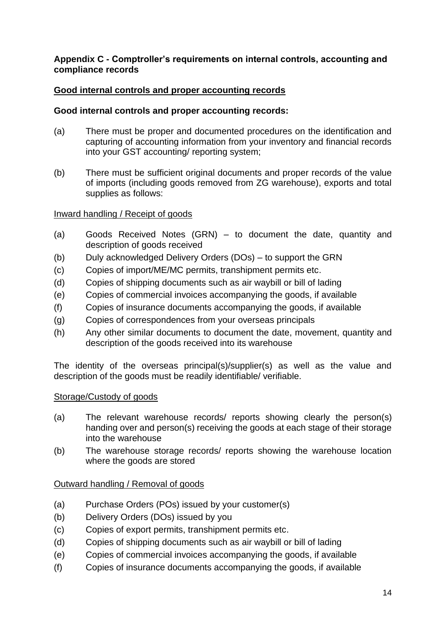#### <span id="page-16-0"></span>**Appendix C - Comptroller's requirements on internal controls, accounting and compliance records**

#### **Good internal controls and proper accounting records**

#### **Good internal controls and proper accounting records:**

- (a) There must be proper and documented procedures on the identification and capturing of accounting information from your inventory and financial records into your GST accounting/ reporting system;
- (b) There must be sufficient original documents and proper records of the value of imports (including goods removed from ZG warehouse), exports and total supplies as follows:

#### Inward handling / Receipt of goods

- (a) Goods Received Notes (GRN) to document the date, quantity and description of goods received
- (b) Duly acknowledged Delivery Orders (DOs) to support the GRN
- (c) Copies of import/ME/MC permits, transhipment permits etc.
- (d) Copies of shipping documents such as air waybill or bill of lading
- (e) Copies of commercial invoices accompanying the goods, if available
- (f) Copies of insurance documents accompanying the goods, if available
- (g) Copies of correspondences from your overseas principals
- (h) Any other similar documents to document the date, movement, quantity and description of the goods received into its warehouse

The identity of the overseas principal(s)/supplier(s) as well as the value and description of the goods must be readily identifiable/ verifiable.

#### Storage/Custody of goods

- (a) The relevant warehouse records/ reports showing clearly the person(s) handing over and person(s) receiving the goods at each stage of their storage into the warehouse
- (b) The warehouse storage records/ reports showing the warehouse location where the goods are stored

#### Outward handling / Removal of goods

- (a) Purchase Orders (POs) issued by your customer(s)
- (b) Delivery Orders (DOs) issued by you
- (c) Copies of export permits, transhipment permits etc.
- (d) Copies of shipping documents such as air waybill or bill of lading
- (e) Copies of commercial invoices accompanying the goods, if available
- (f) Copies of insurance documents accompanying the goods, if available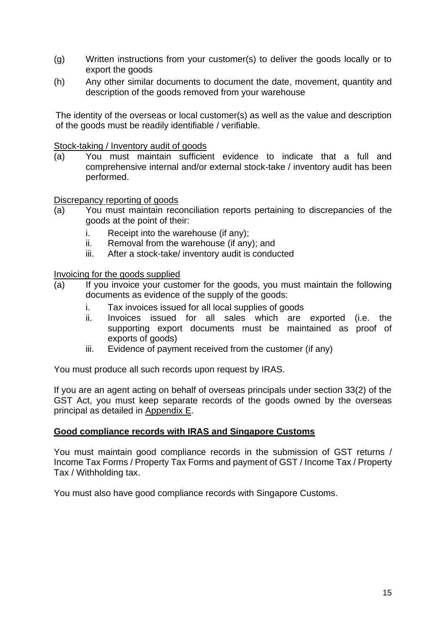- (g) Written instructions from your customer(s) to deliver the goods locally or to export the goods
- (h) Any other similar documents to document the date, movement, quantity and description of the goods removed from your warehouse

The identity of the overseas or local customer(s) as well as the value and description of the goods must be readily identifiable / verifiable.

#### Stock-taking / Inventory audit of goods

(a) You must maintain sufficient evidence to indicate that a full and comprehensive internal and/or external stock-take / inventory audit has been performed.

#### Discrepancy reporting of goods

- (a) You must maintain reconciliation reports pertaining to discrepancies of the goods at the point of their:
	- i. Receipt into the warehouse (if any);
	- ii. Removal from the warehouse (if any); and
	- iii. After a stock-take/ inventory audit is conducted

Invoicing for the goods supplied

- (a) If you invoice your customer for the goods, you must maintain the following documents as evidence of the supply of the goods:
	- i. Tax invoices issued for all local supplies of goods
	- ii. Invoices issued for all sales which are exported (i.e. the supporting export documents must be maintained as proof of exports of goods)
	- iii. Evidence of payment received from the customer (if any)

You must produce all such records upon request by IRAS.

If you are an agent acting on behalf of overseas principals under section 33(2) of the GST Act, you must keep separate records of the goods owned by the overseas principal as detailed in [Appendix E](#page-19-0).

#### **Good compliance records with IRAS and Singapore Customs**

You must maintain good compliance records in the submission of GST returns / Income Tax Forms / Property Tax Forms and payment of GST / Income Tax / Property Tax / Withholding tax.

You must also have good compliance records with Singapore Customs.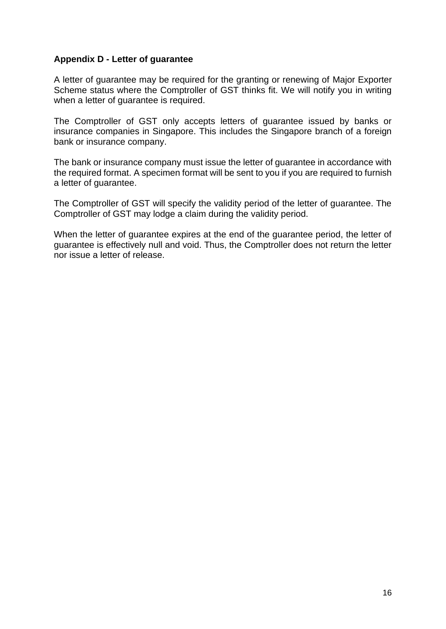#### <span id="page-18-0"></span>**Appendix D - Letter of guarantee**

A letter of guarantee may be required for the granting or renewing of Major Exporter Scheme status where the Comptroller of GST thinks fit. We will notify you in writing when a letter of guarantee is required.

The Comptroller of GST only accepts letters of guarantee issued by banks or insurance companies in Singapore. This includes the Singapore branch of a foreign bank or insurance company.

The bank or insurance company must issue the letter of guarantee in accordance with the required format. A specimen format will be sent to you if you are required to furnish a letter of guarantee.

The Comptroller of GST will specify the validity period of the letter of guarantee. The Comptroller of GST may lodge a claim during the validity period.

When the letter of guarantee expires at the end of the guarantee period, the letter of guarantee is effectively null and void. Thus, the Comptroller does not return the letter nor issue a letter of release.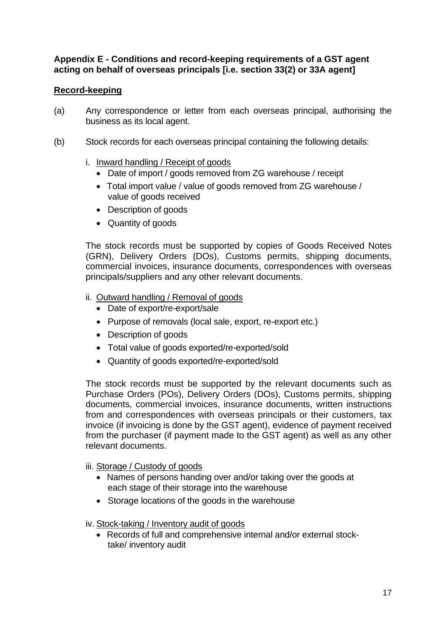#### <span id="page-19-0"></span>**Appendix E - Conditions and record-keeping requirements of a GST agent acting on behalf of overseas principals [i.e. section 33(2) or 33A agent]**

#### **Record-keeping**

- (a) Any correspondence or letter from each overseas principal, authorising the business as its local agent.
- (b) Stock records for each overseas principal containing the following details:
	- i. Inward handling / Receipt of goods
		- Date of import / goods removed from ZG warehouse / receipt
		- Total import value / value of goods removed from ZG warehouse / value of goods received
		- Description of goods
		- Quantity of goods

The stock records must be supported by copies of Goods Received Notes (GRN), Delivery Orders (DOs), Customs permits, shipping documents, commercial invoices, insurance documents, correspondences with overseas principals/suppliers and any other relevant documents.

- ii. Outward handling / Removal of goods
	- Date of export/re-export/sale
	- Purpose of removals (local sale, export, re-export etc.)
	- Description of goods
	- Total value of goods exported/re-exported/sold
	- Quantity of goods exported/re-exported/sold

The stock records must be supported by the relevant documents such as Purchase Orders (POs), Delivery Orders (DOs), Customs permits, shipping documents, commercial invoices, insurance documents, written instructions from and correspondences with overseas principals or their customers, tax invoice (if invoicing is done by the GST agent), evidence of payment received from the purchaser (if payment made to the GST agent) as well as any other relevant documents.

#### iii. Storage / Custody of goods

- Names of persons handing over and/or taking over the goods at each stage of their storage into the warehouse
- Storage locations of the goods in the warehouse

#### iv. Stock-taking / Inventory audit of goods

• Records of full and comprehensive internal and/or external stocktake/ inventory audit